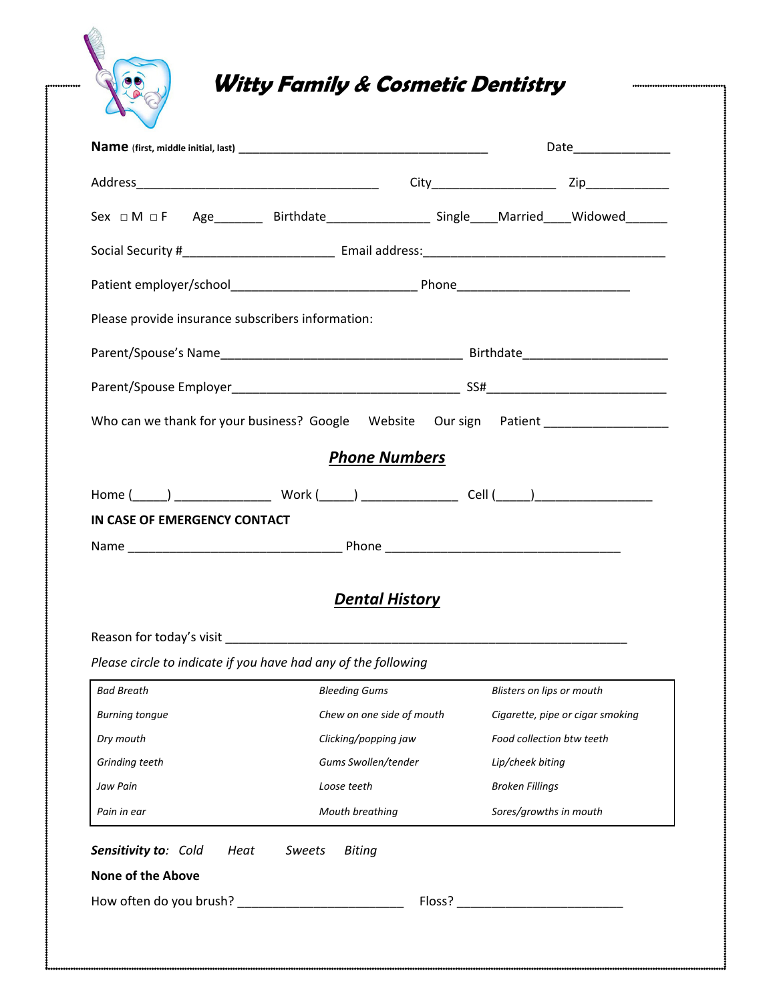

# **Witty Family & Cosmetic Dentistry**

|                                                                | Sex $\Box$ M $\Box$ F Age _________ Birthdate __________________ Single ____Married ____Widowed ______ |                                  |
|----------------------------------------------------------------|--------------------------------------------------------------------------------------------------------|----------------------------------|
|                                                                |                                                                                                        |                                  |
|                                                                |                                                                                                        |                                  |
| Please provide insurance subscribers information:              |                                                                                                        |                                  |
|                                                                |                                                                                                        |                                  |
|                                                                |                                                                                                        |                                  |
|                                                                | Who can we thank for your business? Google Website Our sign Patient _____________                      |                                  |
|                                                                | <b>Phone Numbers</b>                                                                                   |                                  |
|                                                                |                                                                                                        |                                  |
| IN CASE OF EMERGENCY CONTACT                                   |                                                                                                        |                                  |
|                                                                |                                                                                                        |                                  |
|                                                                |                                                                                                        |                                  |
|                                                                | <b>Dental History</b>                                                                                  |                                  |
| Please circle to indicate if you have had any of the following |                                                                                                        |                                  |
| <b>Bad Breath</b>                                              | Bleeding Gums Blisters on lips or mouth                                                                |                                  |
| <b>Burning tongue</b>                                          | Chew on one side of mouth                                                                              | Cigarette, pipe or cigar smoking |
| Dry mouth                                                      | Clicking/popping jaw                                                                                   | Food collection btw teeth        |
| Grinding teeth                                                 | Gums Swollen/tender                                                                                    | Lip/cheek biting                 |
| Jaw Pain                                                       | Loose teeth                                                                                            | <b>Broken Fillings</b>           |
| Pain in ear                                                    | Mouth breathing                                                                                        | Sores/growths in mouth           |
| Sensitivity to: Cold<br>Heat<br><b>None of the Above</b>       | <b>Biting</b><br>Sweets                                                                                |                                  |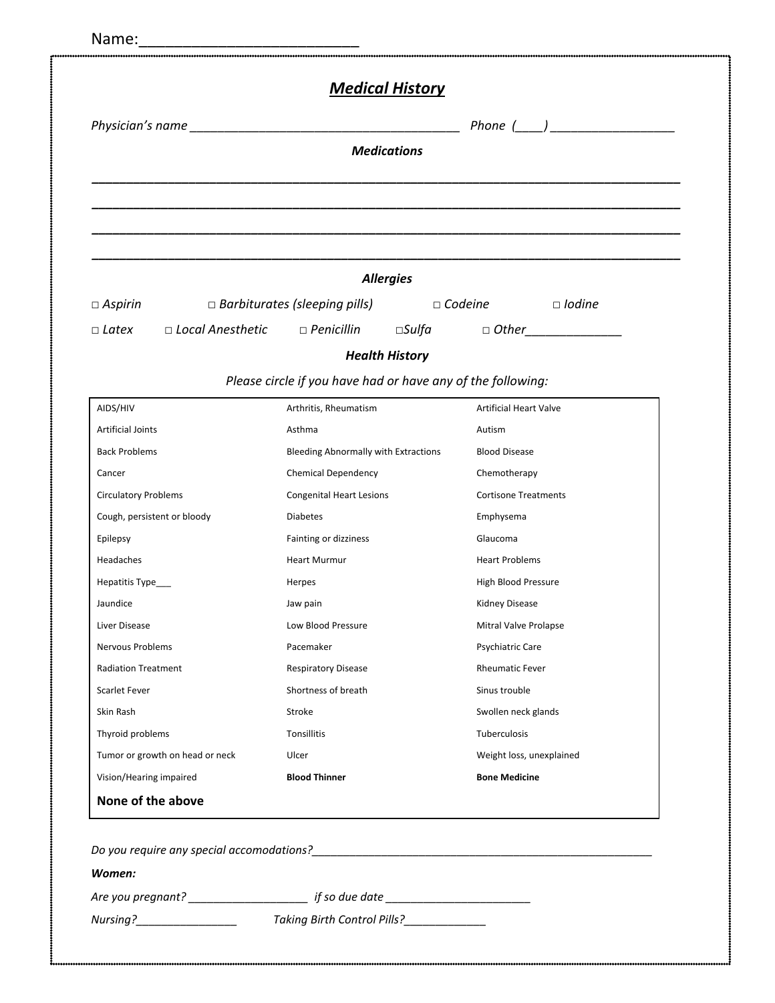|                                                                                 | <b>Medications</b>                                                |                               |  |
|---------------------------------------------------------------------------------|-------------------------------------------------------------------|-------------------------------|--|
|                                                                                 |                                                                   |                               |  |
|                                                                                 |                                                                   |                               |  |
|                                                                                 |                                                                   |                               |  |
|                                                                                 | <b>Allergies</b>                                                  |                               |  |
| $\Box$ Aspirin                                                                  | $\Box$ Barbiturates (sleeping pills) $\Box$ Codeine $\Box$ Iodine |                               |  |
| □ Latex   □ Local Anesthetic   □ Penicillin   □Sulfa     □ Other_______________ |                                                                   |                               |  |
|                                                                                 | <b>Health History</b>                                             |                               |  |
|                                                                                 | Please circle if you have had or have any of the following:       |                               |  |
| AIDS/HIV                                                                        | Arthritis, Rheumatism                                             | <b>Artificial Heart Valve</b> |  |
| <b>Artificial Joints</b>                                                        | Asthma                                                            | Autism                        |  |
| <b>Back Problems</b>                                                            | Bleeding Abnormally with Extractions                              | <b>Blood Disease</b>          |  |
| Cancer                                                                          | <b>Chemical Dependency</b>                                        | Chemotherapy                  |  |
| <b>Circulatory Problems</b>                                                     | <b>Congenital Heart Lesions</b>                                   | <b>Cortisone Treatments</b>   |  |
| Cough, persistent or bloody                                                     | <b>Diabetes</b>                                                   | Emphysema                     |  |
| Epilepsy                                                                        | Fainting or dizziness                                             | Glaucoma                      |  |
| Headaches                                                                       | <b>Heart Murmur</b>                                               | <b>Heart Problems</b>         |  |
| Hepatitis Type___                                                               | Herpes                                                            | High Blood Pressure           |  |
| Jaundice                                                                        | Jaw pain                                                          | Kidney Disease                |  |
| Liver Disease                                                                   | Low Blood Pressure                                                | Mitral Valve Prolapse         |  |
| <b>Nervous Problems</b>                                                         | Pacemaker<br>Psychiatric Care                                     |                               |  |
| <b>Radiation Treatment</b>                                                      | <b>Rheumatic Fever</b><br><b>Respiratory Disease</b>              |                               |  |
| <b>Scarlet Fever</b>                                                            | Shortness of breath                                               | Sinus trouble                 |  |
| Skin Rash                                                                       | Stroke<br>Swollen neck glands                                     |                               |  |
|                                                                                 | Tuberculosis<br>Tonsillitis                                       |                               |  |
| Thyroid problems                                                                |                                                                   | Weight loss, unexplained      |  |
| Tumor or growth on head or neck                                                 | Ulcer                                                             |                               |  |

| Do you require any special accomodations? |                                    |  |  |  |
|-------------------------------------------|------------------------------------|--|--|--|
| Women:                                    |                                    |  |  |  |
| Are you pregnant?                         | if so due date                     |  |  |  |
| Nursing?                                  | <b>Taking Birth Control Pills?</b> |  |  |  |
|                                           |                                    |  |  |  |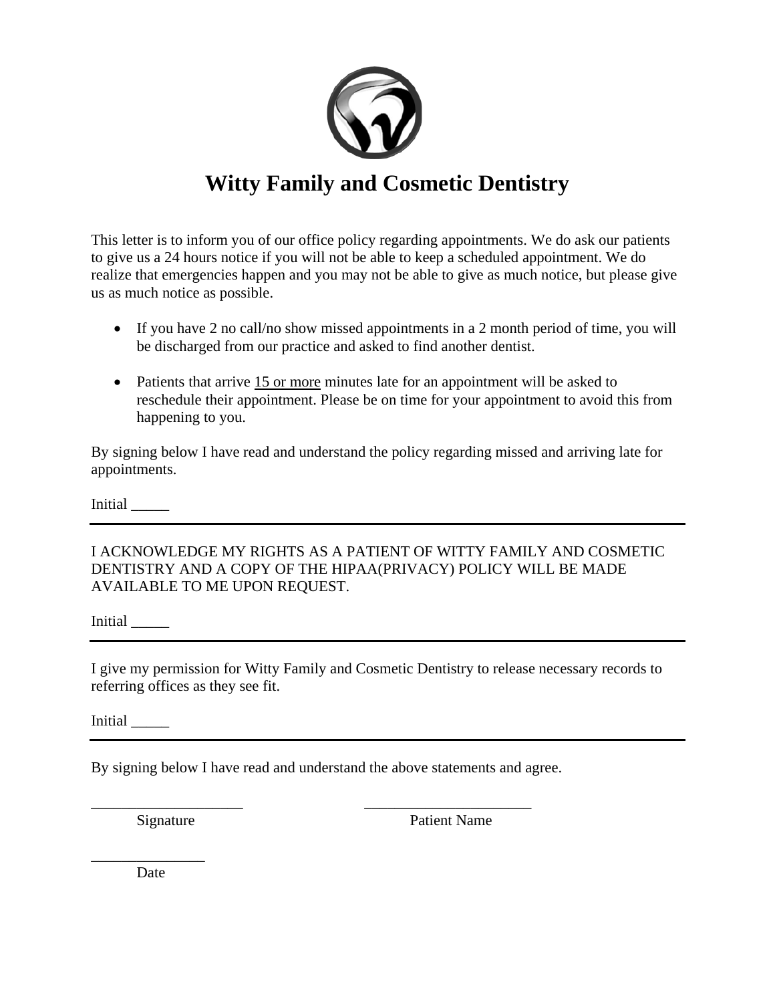

### **Witty Family and Cosmetic Dentistry**

This letter is to inform you of our office policy regarding appointments. We do ask our patients to give us a 24 hours notice if you will not be able to keep a scheduled appointment. We do realize that emergencies happen and you may not be able to give as much notice, but please give us as much notice as possible.

- If you have 2 no call/no show missed appointments in a 2 month period of time, you will be discharged from our practice and asked to find another dentist.
- Patients that arrive 15 or more minutes late for an appointment will be asked to reschedule their appointment. Please be on time for your appointment to avoid this from happening to you.

By signing below I have read and understand the policy regarding missed and arriving late for appointments.

Initial \_\_\_\_\_

I ACKNOWLEDGE MY RIGHTS AS A PATIENT OF WITTY FAMILY AND COSMETIC DENTISTRY AND A COPY OF THE HIPAA(PRIVACY) POLICY WILL BE MADE AVAILABLE TO ME UPON REQUEST.

Initial \_\_\_\_\_

I give my permission for Witty Family and Cosmetic Dentistry to release necessary records to referring offices as they see fit.

Initial \_\_\_\_\_

By signing below I have read and understand the above statements and agree.

\_\_\_\_\_\_\_\_\_\_\_\_\_\_\_\_\_\_\_\_ \_\_\_\_\_\_\_\_\_\_\_\_\_\_\_\_\_\_\_\_\_\_

Signature Patient Name

\_\_\_\_\_\_\_\_\_\_\_\_\_\_\_ **Date**